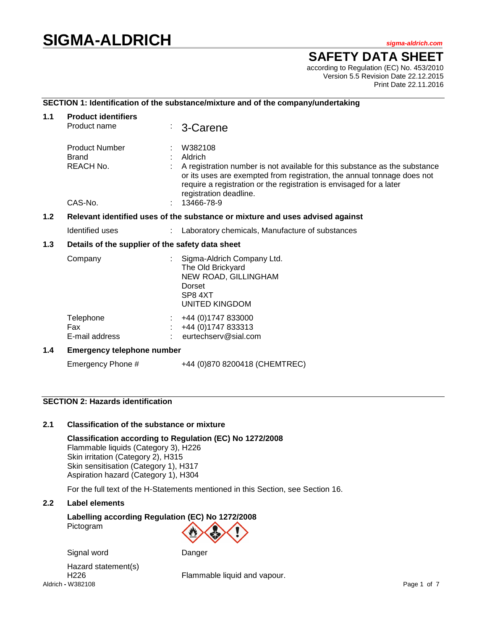# **SIGMA-ALDRICH** *sigma-aldrich.com*

**SAFETY DATA SHEET**

according to Regulation (EC) No. 453/2010 Version 5.5 Revision Date 22.12.2015 Print Date 22.11.2016

## **SECTION 1: Identification of the substance/mixture and of the company/undertaking**

| 1.1                                                                                  | <b>Product identifiers</b>                       |  |                                                                                                                                                                                                                                                        |  |  |  |  |
|--------------------------------------------------------------------------------------|--------------------------------------------------|--|--------------------------------------------------------------------------------------------------------------------------------------------------------------------------------------------------------------------------------------------------------|--|--|--|--|
|                                                                                      | Product name                                     |  | 3-Carene                                                                                                                                                                                                                                               |  |  |  |  |
|                                                                                      | <b>Product Number</b>                            |  | W382108                                                                                                                                                                                                                                                |  |  |  |  |
|                                                                                      | <b>Brand</b>                                     |  | Aldrich                                                                                                                                                                                                                                                |  |  |  |  |
|                                                                                      | REACH No.                                        |  | A registration number is not available for this substance as the substance<br>or its uses are exempted from registration, the annual tonnage does not<br>require a registration or the registration is envisaged for a later<br>registration deadline. |  |  |  |  |
|                                                                                      | CAS-No.                                          |  | 13466-78-9                                                                                                                                                                                                                                             |  |  |  |  |
| 1.2<br>Relevant identified uses of the substance or mixture and uses advised against |                                                  |  |                                                                                                                                                                                                                                                        |  |  |  |  |
|                                                                                      | Identified uses                                  |  | Laboratory chemicals, Manufacture of substances                                                                                                                                                                                                        |  |  |  |  |
| $1.3$                                                                                | Details of the supplier of the safety data sheet |  |                                                                                                                                                                                                                                                        |  |  |  |  |
|                                                                                      | Company                                          |  | Sigma-Aldrich Company Ltd.<br>The Old Brickyard<br>NEW ROAD, GILLINGHAM                                                                                                                                                                                |  |  |  |  |
|                                                                                      |                                                  |  | Dorset                                                                                                                                                                                                                                                 |  |  |  |  |
|                                                                                      |                                                  |  | SP8 4XT                                                                                                                                                                                                                                                |  |  |  |  |
|                                                                                      |                                                  |  | UNITED KINGDOM                                                                                                                                                                                                                                         |  |  |  |  |
|                                                                                      | Telephone                                        |  | +44 (0) 1747 833000                                                                                                                                                                                                                                    |  |  |  |  |
|                                                                                      | <b>Fax</b>                                       |  | +44 (0) 1747 833313                                                                                                                                                                                                                                    |  |  |  |  |
|                                                                                      | E-mail address                                   |  | eurtechserv@sial.com                                                                                                                                                                                                                                   |  |  |  |  |
| 1.4                                                                                  | <b>Emergency telephone number</b>                |  |                                                                                                                                                                                                                                                        |  |  |  |  |
|                                                                                      | Emergency Phone #                                |  | +44 (0)870 8200418 (CHEMTREC)                                                                                                                                                                                                                          |  |  |  |  |

## **SECTION 2: Hazards identification**

## **2.1 Classification of the substance or mixture**

**Classification according to Regulation (EC) No 1272/2008** Flammable liquids (Category 3), H226 Skin irritation (Category 2), H315 Skin sensitisation (Category 1), H317 Aspiration hazard (Category 1), H304

For the full text of the H-Statements mentioned in this Section, see Section 16.

# **2.2 Label elements**

**Labelling according Regulation (EC) No 1272/2008** Pictogram



Aldrich **-** W382108 Page 1 of 7 Hazard statement(s)

H226 Flammable liquid and vapour.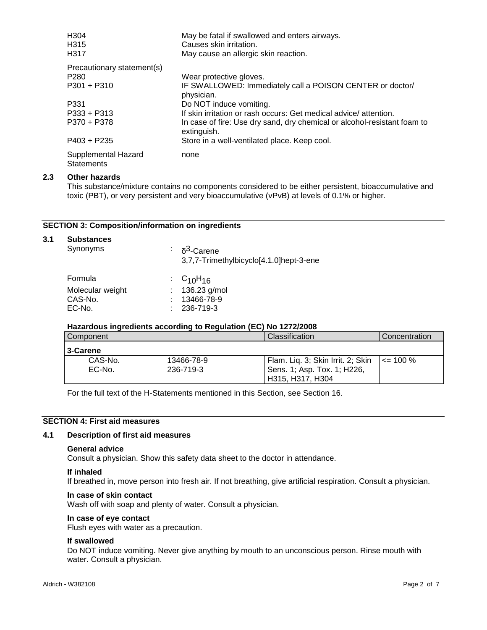| H <sub>304</sub><br>H <sub>315</sub><br>H317 | May be fatal if swallowed and enters airways.<br>Causes skin irritation.<br>May cause an allergic skin reaction. |
|----------------------------------------------|------------------------------------------------------------------------------------------------------------------|
| Precautionary statement(s)                   |                                                                                                                  |
| P <sub>280</sub>                             | Wear protective gloves.                                                                                          |
| $P301 + P310$                                | IF SWALLOWED: Immediately call a POISON CENTER or doctor/<br>physician.                                          |
| P331                                         | Do NOT induce vomiting.                                                                                          |
| $P333 + P313$                                | If skin irritation or rash occurs: Get medical advice/attention.                                                 |
| P370 + P378                                  | In case of fire: Use dry sand, dry chemical or alcohol-resistant foam to<br>extinguish.                          |
| P403 + P235                                  | Store in a well-ventilated place. Keep cool.                                                                     |
| Supplemental Hazard<br><b>Statements</b>     | none                                                                                                             |

## **2.3 Other hazards**

This substance/mixture contains no components considered to be either persistent, bioaccumulative and toxic (PBT), or very persistent and very bioaccumulative (vPvB) at levels of 0.1% or higher.

## **SECTION 3: Composition/information on ingredients**

| 3.1 | <b>Substances</b><br>Synonyms                    | ÷ | $δ3$ -Carene<br>3,7,7-Trimethylbicyclo[4.1.0]hept-3-ene                            |
|-----|--------------------------------------------------|---|------------------------------------------------------------------------------------|
|     | Formula<br>Molecular weight<br>CAS-No.<br>EC-No. |   | $\cdot$ C <sub>10</sub> H <sub>16</sub><br>136.23 g/mol<br>13466-78-9<br>236-719-3 |

## **Hazardous ingredients according to Regulation (EC) No 1272/2008**

| Component |            | <b>Classification</b>             | Concentration |
|-----------|------------|-----------------------------------|---------------|
| 3-Carene  |            |                                   |               |
| CAS-No.   | 13466-78-9 | Flam. Lig. 3; Skin Irrit. 2; Skin | $\leq$ 100 %  |
| EC-No.    | 236-719-3  | Sens. 1; Asp. Tox. 1; H226,       |               |
|           |            | H315, H317, H304                  |               |

For the full text of the H-Statements mentioned in this Section, see Section 16.

## **SECTION 4: First aid measures**

#### **4.1 Description of first aid measures**

#### **General advice**

Consult a physician. Show this safety data sheet to the doctor in attendance.

#### **If inhaled**

If breathed in, move person into fresh air. If not breathing, give artificial respiration. Consult a physician.

#### **In case of skin contact**

Wash off with soap and plenty of water. Consult a physician.

#### **In case of eye contact**

Flush eyes with water as a precaution.

#### **If swallowed**

Do NOT induce vomiting. Never give anything by mouth to an unconscious person. Rinse mouth with water. Consult a physician.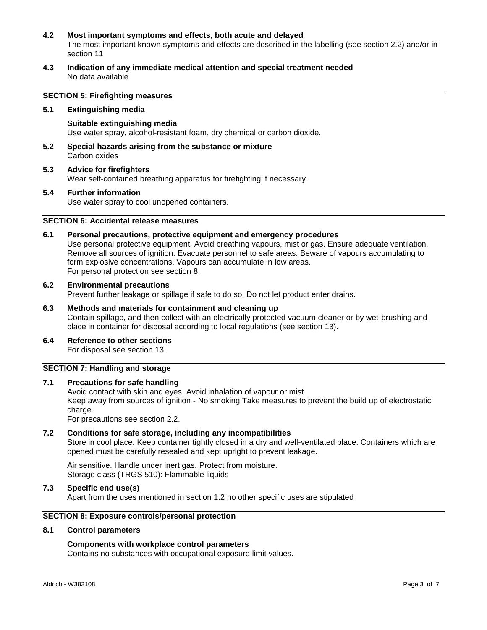## **4.2 Most important symptoms and effects, both acute and delayed**

The most important known symptoms and effects are described in the labelling (see section 2.2) and/or in section 11

**4.3 Indication of any immediate medical attention and special treatment needed** No data available

## **SECTION 5: Firefighting measures**

#### **5.1 Extinguishing media**

**Suitable extinguishing media** Use water spray, alcohol-resistant foam, dry chemical or carbon dioxide.

- **5.2 Special hazards arising from the substance or mixture** Carbon oxides
- **5.3 Advice for firefighters** Wear self-contained breathing apparatus for firefighting if necessary.

#### **5.4 Further information**

Use water spray to cool unopened containers.

## **SECTION 6: Accidental release measures**

#### **6.1 Personal precautions, protective equipment and emergency procedures**

Use personal protective equipment. Avoid breathing vapours, mist or gas. Ensure adequate ventilation. Remove all sources of ignition. Evacuate personnel to safe areas. Beware of vapours accumulating to form explosive concentrations. Vapours can accumulate in low areas. For personal protection see section 8.

#### **6.2 Environmental precautions**

Prevent further leakage or spillage if safe to do so. Do not let product enter drains.

# **6.3 Methods and materials for containment and cleaning up**

Contain spillage, and then collect with an electrically protected vacuum cleaner or by wet-brushing and place in container for disposal according to local regulations (see section 13).

**6.4 Reference to other sections** For disposal see section 13.

## **SECTION 7: Handling and storage**

## **7.1 Precautions for safe handling**

Avoid contact with skin and eyes. Avoid inhalation of vapour or mist. Keep away from sources of ignition - No smoking.Take measures to prevent the build up of electrostatic charge. For precautions see section 2.2.

## **7.2 Conditions for safe storage, including any incompatibilities**

Store in cool place. Keep container tightly closed in a dry and well-ventilated place. Containers which are opened must be carefully resealed and kept upright to prevent leakage.

Air sensitive. Handle under inert gas. Protect from moisture. Storage class (TRGS 510): Flammable liquids

**7.3 Specific end use(s)**

Apart from the uses mentioned in section 1.2 no other specific uses are stipulated

# **SECTION 8: Exposure controls/personal protection**

## **8.1 Control parameters**

#### **Components with workplace control parameters**

Contains no substances with occupational exposure limit values.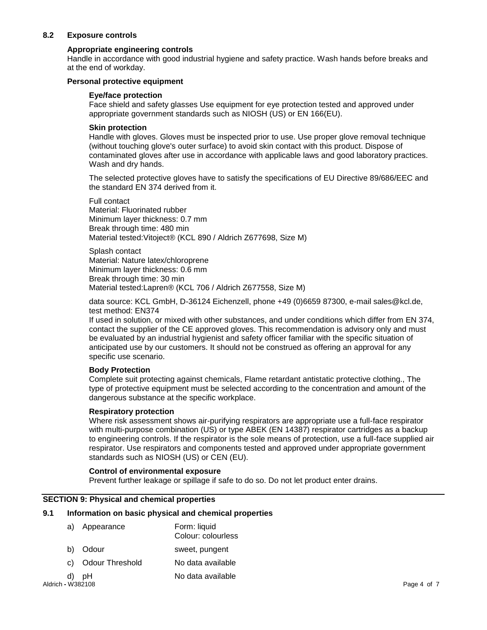## **8.2 Exposure controls**

## **Appropriate engineering controls**

Handle in accordance with good industrial hygiene and safety practice. Wash hands before breaks and at the end of workday.

## **Personal protective equipment**

## **Eye/face protection**

Face shield and safety glasses Use equipment for eye protection tested and approved under appropriate government standards such as NIOSH (US) or EN 166(EU).

#### **Skin protection**

Handle with gloves. Gloves must be inspected prior to use. Use proper glove removal technique (without touching glove's outer surface) to avoid skin contact with this product. Dispose of contaminated gloves after use in accordance with applicable laws and good laboratory practices. Wash and dry hands.

The selected protective gloves have to satisfy the specifications of EU Directive 89/686/EEC and the standard EN 374 derived from it.

Full contact Material: Fluorinated rubber Minimum layer thickness: 0.7 mm Break through time: 480 min Material tested:Vitoject® (KCL 890 / Aldrich Z677698, Size M)

Splash contact Material: Nature latex/chloroprene Minimum layer thickness: 0.6 mm Break through time: 30 min Material tested:Lapren® (KCL 706 / Aldrich Z677558, Size M)

data source: KCL GmbH, D-36124 Eichenzell, phone +49 (0)6659 87300, e-mail sales@kcl.de, test method: EN374

If used in solution, or mixed with other substances, and under conditions which differ from EN 374, contact the supplier of the CE approved gloves. This recommendation is advisory only and must be evaluated by an industrial hygienist and safety officer familiar with the specific situation of anticipated use by our customers. It should not be construed as offering an approval for any specific use scenario.

## **Body Protection**

Complete suit protecting against chemicals, Flame retardant antistatic protective clothing., The type of protective equipment must be selected according to the concentration and amount of the dangerous substance at the specific workplace.

#### **Respiratory protection**

Where risk assessment shows air-purifying respirators are appropriate use a full-face respirator with multi-purpose combination (US) or type ABEK (EN 14387) respirator cartridges as a backup to engineering controls. If the respirator is the sole means of protection, use a full-face supplied air respirator. Use respirators and components tested and approved under appropriate government standards such as NIOSH (US) or CEN (EU).

## **Control of environmental exposure**

Prevent further leakage or spillage if safe to do so. Do not let product enter drains.

## **SECTION 9: Physical and chemical properties**

#### **9.1 Information on basic physical and chemical properties**

| a)                | Appearance             | Form: liquid<br>Colour: colourless |             |
|-------------------|------------------------|------------------------------------|-------------|
| b)                | Odour                  | sweet, pungent                     |             |
| C)                | <b>Odour Threshold</b> | No data available                  |             |
| d)                | pH                     | No data available                  |             |
| Aldrich - W382108 |                        |                                    | Page 4 of 7 |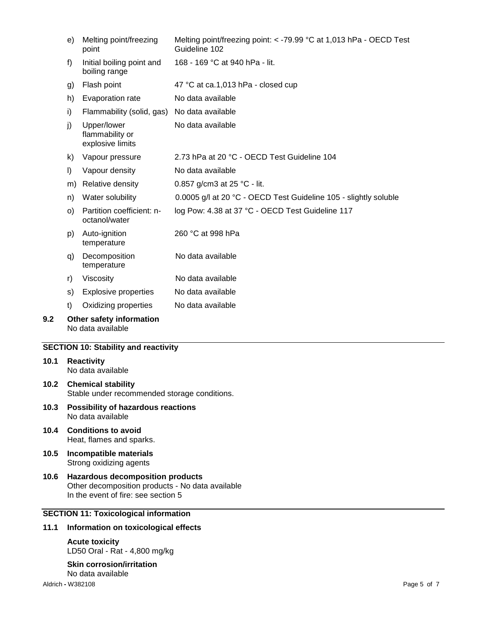|     | e) | Melting point/freezing<br>point                    | Melting point/freezing point: < -79.99 °C at 1,013 hPa - OECD Test<br>Guideline 102 |
|-----|----|----------------------------------------------------|-------------------------------------------------------------------------------------|
|     | f) | Initial boiling point and<br>boiling range         | 168 - 169 °C at 940 hPa - lit.                                                      |
|     | g) | Flash point                                        | 47 °C at ca.1,013 hPa - closed cup                                                  |
|     | h) | Evaporation rate                                   | No data available                                                                   |
|     | i) | Flammability (solid, gas)                          | No data available                                                                   |
|     | j) | Upper/lower<br>flammability or<br>explosive limits | No data available                                                                   |
|     | k) | Vapour pressure                                    | 2.73 hPa at 20 °C - OECD Test Guideline 104                                         |
|     | I) | Vapour density                                     | No data available                                                                   |
|     | m) | Relative density                                   | 0.857 g/cm3 at 25 °C - lit.                                                         |
|     | n) | Water solubility                                   | 0.0005 g/l at 20 °C - OECD Test Guideline 105 - slightly soluble                    |
|     | O) | Partition coefficient: n-<br>octanol/water         | log Pow: 4.38 at 37 °C - OECD Test Guideline 117                                    |
|     | p) | Auto-ignition<br>temperature                       | 260 °C at 998 hPa                                                                   |
|     | q) | Decomposition<br>temperature                       | No data available                                                                   |
|     | r) | Viscosity                                          | No data available                                                                   |
|     | s) | <b>Explosive properties</b>                        | No data available                                                                   |
|     | t) | Oxidizing properties                               | No data available                                                                   |
| 9.2 |    | Other safety information<br>No data available      |                                                                                     |

## **SECTION 10: Stability and reactivity**

# **10.1 Reactivity** No data available

- **10.2 Chemical stability** Stable under recommended storage conditions.
- **10.3 Possibility of hazardous reactions** No data available
- **10.4 Conditions to avoid** Heat, flames and sparks.
- **10.5 Incompatible materials** Strong oxidizing agents
- **10.6 Hazardous decomposition products** Other decomposition products - No data available In the event of fire: see section 5

# **SECTION 11: Toxicological information**

## **11.1 Information on toxicological effects**

# **Acute toxicity**

LD50 Oral - Rat - 4,800 mg/kg

#### **Skin corrosion/irritation** No data available

Aldrich **-** W382108 Page 5 of 7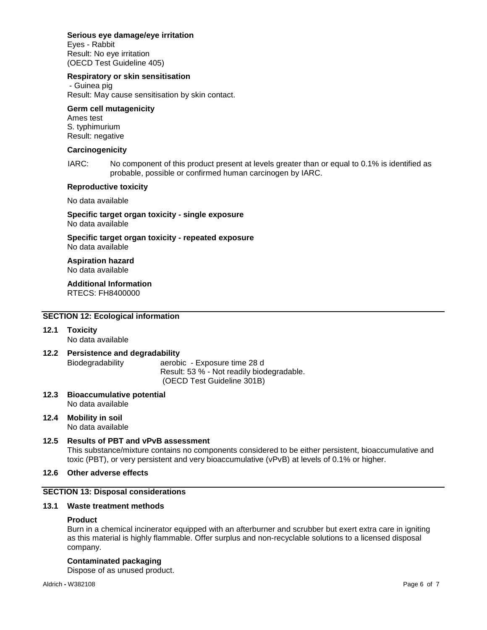## **Serious eye damage/eye irritation**

Eyes - Rabbit Result: No eye irritation (OECD Test Guideline 405)

## **Respiratory or skin sensitisation**

- Guinea pig Result: May cause sensitisation by skin contact.

#### **Germ cell mutagenicity**

Ames test S. typhimurium Result: negative

#### **Carcinogenicity**

IARC: No component of this product present at levels greater than or equal to 0.1% is identified as probable, possible or confirmed human carcinogen by IARC.

#### **Reproductive toxicity**

No data available

**Specific target organ toxicity - single exposure** No data available

**Specific target organ toxicity - repeated exposure** No data available

**Aspiration hazard** No data available

**Additional Information** RTECS: FH8400000

## **SECTION 12: Ecological information**

**12.1 Toxicity**

No data available

- **12.2 Persistence and degradability** Biodegradability aerobic - Exposure time 28 d Result: 53 % - Not readily biodegradable. (OECD Test Guideline 301B)
- **12.3 Bioaccumulative potential** No data available
- **12.4 Mobility in soil** No data available
- **12.5 Results of PBT and vPvB assessment** This substance/mixture contains no components considered to be either persistent, bioaccumulative and toxic (PBT), or very persistent and very bioaccumulative (vPvB) at levels of 0.1% or higher.

## **12.6 Other adverse effects**

## **SECTION 13: Disposal considerations**

#### **13.1 Waste treatment methods**

#### **Product**

Burn in a chemical incinerator equipped with an afterburner and scrubber but exert extra care in igniting as this material is highly flammable. Offer surplus and non-recyclable solutions to a licensed disposal company.

## **Contaminated packaging**

Dispose of as unused product.